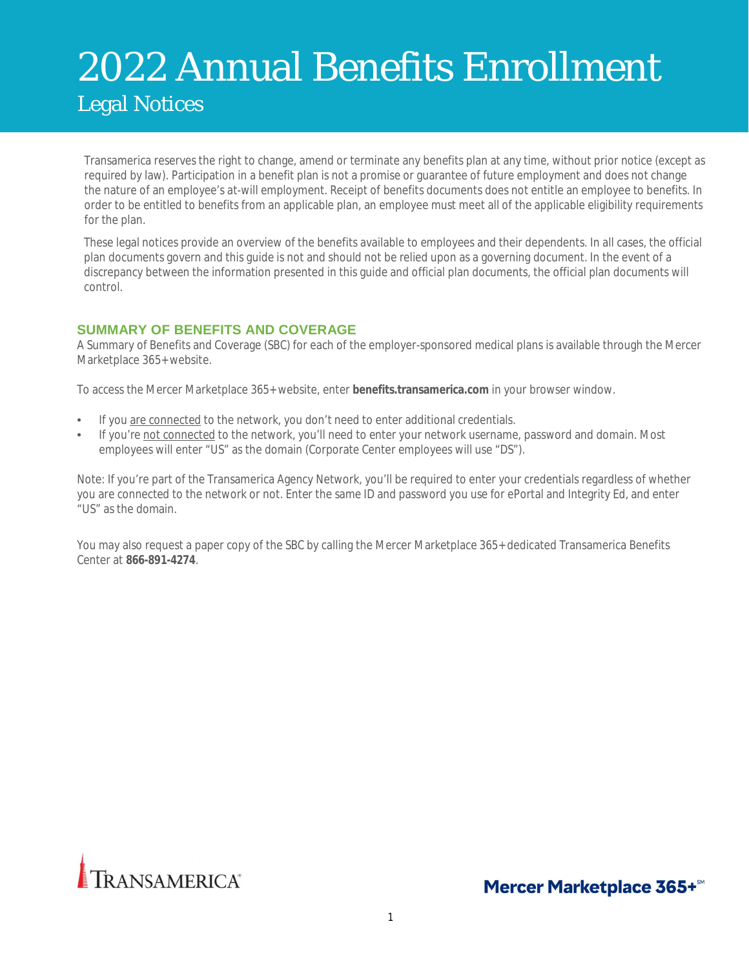# 2022 Annual Benefits Enrollment Legal Notices

Transamerica reserves the right to change, amend or terminate any benefits plan at any time, without prior notice (except as required by law). Participation in a benefit plan is not a promise or guarantee of future employment and does not change the nature of an employee's at-will employment. Receipt of benefits documents does not entitle an employee to benefits. In order to be entitled to benefits from an applicable plan, an employee must meet all of the applicable eligibility requirements for the plan.

These legal notices provide an overview of the benefits available to employees and their dependents. In all cases, the official plan documents govern and this guide is not and should not be relied upon as a governing document. In the event of a discrepancy between the information presented in this guide and official plan documents, the official plan documents will control.

# **SUMMARY OF BENEFITS AND COVERAGE**

A Summary of Benefits and Coverage (SBC) for each of the employer-sponsored medical plans is available through the Mercer Marketplace 365+ website.

To access the Mercer Marketplace 365+ website, enter **benefits.transamerica.com** in your browser window.

- If you are connected to the network, you don't need to enter additional credentials.
- If you're not connected to the network, you'll need to enter your network username, password and domain. Most employees will enter "US" as the domain (Corporate Center employees will use "DS").

Note: If you're part of the Transamerica Agency Network, you'll be required to enter your credentials regardless of whether you are connected to the network or not. Enter the same ID and password you use for ePortal and Integrity Ed, and enter "US" as the domain.

You may also request a paper copy of the SBC by calling the Mercer Marketplace 365+ dedicated Transamerica Benefits Center at **866-891-4274**.



Mercer Marketplace 365+<sup>sM</sup>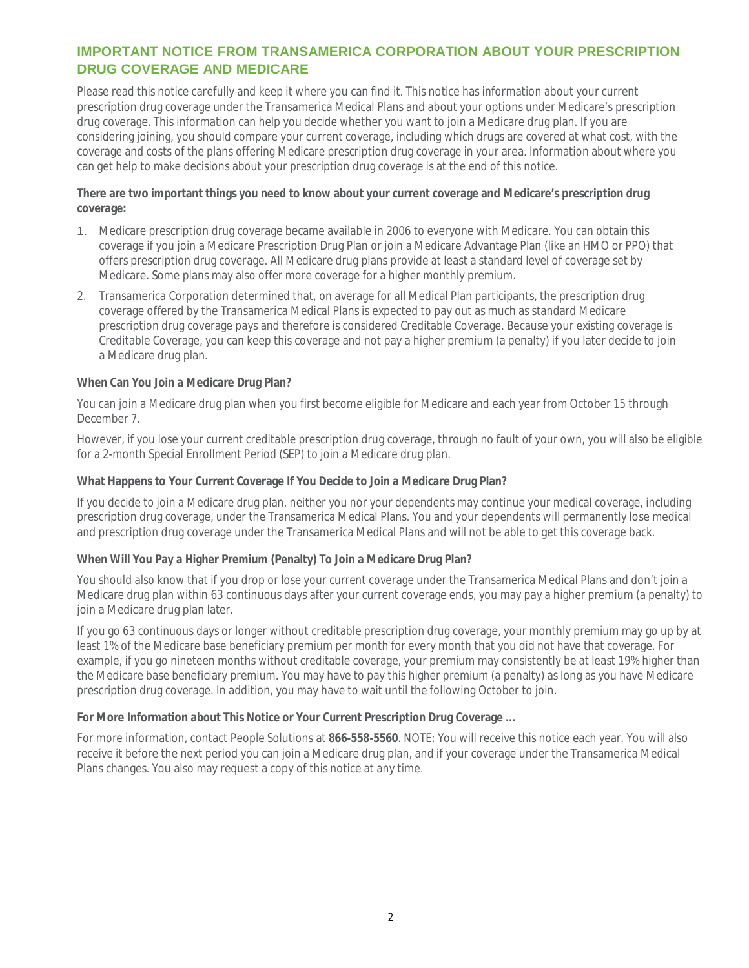# **IMPORTANT NOTICE FROM TRANSAMERICA CORPORATION ABOUT YOUR PRESCRIPTION DRUG COVERAGE AND MEDICARE**

Please read this notice carefully and keep it where you can find it. This notice has information about your current prescription drug coverage under the Transamerica Medical Plans and about your options under Medicare's prescription drug coverage. This information can help you decide whether you want to join a Medicare drug plan. If you are considering joining, you should compare your current coverage, including which drugs are covered at what cost, with the coverage and costs of the plans offering Medicare prescription drug coverage in your area. Information about where you can get help to make decisions about your prescription drug coverage is at the end of this notice.

**There are two important things you need to know about your current coverage and Medicare's prescription drug coverage:**

- 1. Medicare prescription drug coverage became available in 2006 to everyone with Medicare. You can obtain this coverage if you join a Medicare Prescription Drug Plan or join a Medicare Advantage Plan (like an HMO or PPO) that offers prescription drug coverage. All Medicare drug plans provide at least a standard level of coverage set by Medicare. Some plans may also offer more coverage for a higher monthly premium.
- 2. Transamerica Corporation determined that, on average for all Medical Plan participants, the prescription drug coverage offered by the Transamerica Medical Plans is expected to pay out as much as standard Medicare prescription drug coverage pays and therefore is considered Creditable Coverage. Because your existing coverage is Creditable Coverage, you can keep this coverage and not pay a higher premium (a penalty) if you later decide to join a Medicare drug plan.

**When Can You Join a Medicare Drug Plan?**

You can join a Medicare drug plan when you first become eligible for Medicare and each year from October 15 through December 7.

However, if you lose your current creditable prescription drug coverage, through no fault of your own, you will also be eligible for a 2-month Special Enrollment Period (SEP) to join a Medicare drug plan.

**What Happens to Your Current Coverage If You Decide to Join a Medicare Drug Plan?**

If you decide to join a Medicare drug plan, neither you nor your dependents may continue your medical coverage, including prescription drug coverage, under the Transamerica Medical Plans. You and your dependents will permanently lose medical and prescription drug coverage under the Transamerica Medical Plans and will not be able to get this coverage back.

**When Will You Pay a Higher Premium (Penalty) To Join a Medicare Drug Plan?**

You should also know that if you drop or lose your current coverage under the Transamerica Medical Plans and don't join a Medicare drug plan within 63 continuous days after your current coverage ends, you may pay a higher premium (a penalty) to join a Medicare drug plan later.

If you go 63 continuous days or longer without creditable prescription drug coverage, your monthly premium may go up by at least 1% of the Medicare base beneficiary premium per month for every month that you did not have that coverage. For example, if you go nineteen months without creditable coverage, your premium may consistently be at least 19% higher than the Medicare base beneficiary premium. You may have to pay this higher premium (a penalty) as long as you have Medicare prescription drug coverage. In addition, you may have to wait until the following October to join.

**For More Information about This Notice or Your Current Prescription Drug Coverage ...**

For more information, contact People Solutions at **866-558-5560**. NOTE: You will receive this notice each year. You will also receive it before the next period you can join a Medicare drug plan, and if your coverage under the Transamerica Medical Plans changes. You also may request a copy of this notice at any time.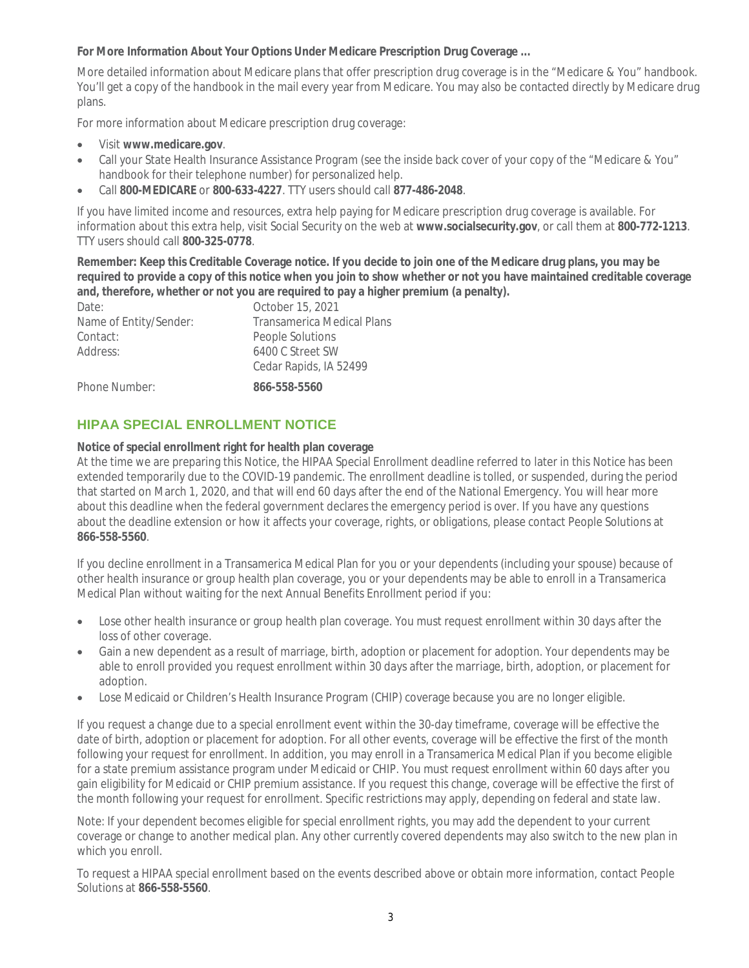**For More Information About Your Options Under Medicare Prescription Drug Coverage ...**

More detailed information about Medicare plans that offer prescription drug coverage is in the "Medicare & You" handbook. You'll get a copy of the handbook in the mail every year from Medicare. You may also be contacted directly by Medicare drug plans.

For more information about Medicare prescription drug coverage:

- Visit **www.medicare.gov**.
- Call your State Health Insurance Assistance Program (see the inside back cover of your copy of the "Medicare & You" handbook for their telephone number) for personalized help.
- Call **800-MEDICARE** or **800-633-4227**. TTY users should call **877-486-2048**.

If you have limited income and resources, extra help paying for Medicare prescription drug coverage is available. For information about this extra help, visit Social Security on the web at **www.socialsecurity.gov**, or call them at **800-772-1213**. TTY users should call **800-325-0778**.

**Remember: Keep this Creditable Coverage notice. If you decide to join one of the Medicare drug plans, you may be required to provide a copy of this notice when you join to show whether or not you have maintained creditable coverage and, therefore, whether or not you are required to pay a higher premium (a penalty).**

| Date:                  | October 15, 2021                  |
|------------------------|-----------------------------------|
| Name of Entity/Sender: | <b>Transamerica Medical Plans</b> |
| Contact:               | People Solutions                  |
| Address:               | 6400 C Street SW                  |
|                        | Cedar Rapids, IA 52499            |
| Phone Number:          | 866-558-5560                      |

# **HIPAA SPECIAL ENROLLMENT NOTICE**

**Notice of special enrollment right for health plan coverage**

At the time we are preparing this Notice, the HIPAA Special Enrollment deadline referred to later in this Notice has been extended temporarily due to the COVID-19 pandemic. The enrollment deadline is tolled, or suspended, during the period that started on March 1, 2020, and that will end 60 days after the end of the National Emergency. You will hear more about this deadline when the federal government declares the emergency period is over. If you have any questions about the deadline extension or how it affects your coverage, rights, or obligations, please contact People Solutions at **866-558-5560**.

If you decline enrollment in a Transamerica Medical Plan for you or your dependents (including your spouse) because of other health insurance or group health plan coverage, you or your dependents may be able to enroll in a Transamerica Medical Plan without waiting for the next Annual Benefits Enrollment period if you:

- Lose other health insurance or group health plan coverage. You must request enrollment within 30 days after the loss of other coverage.
- Gain a new dependent as a result of marriage, birth, adoption or placement for adoption. Your dependents may be able to enroll provided you request enrollment within 30 days after the marriage, birth, adoption, or placement for adoption.
- Lose Medicaid or Children's Health Insurance Program (CHIP) coverage because you are no longer eligible.

If you request a change due to a special enrollment event within the 30-day timeframe, coverage will be effective the date of birth, adoption or placement for adoption. For all other events, coverage will be effective the first of the month following your request for enrollment. In addition, you may enroll in a Transamerica Medical Plan if you become eligible for a state premium assistance program under Medicaid or CHIP. You must request enrollment within 60 days after you gain eligibility for Medicaid or CHIP premium assistance. If you request this change, coverage will be effective the first of the month following your request for enrollment. Specific restrictions may apply, depending on federal and state law.

Note: If your dependent becomes eligible for special enrollment rights, you may add the dependent to your current coverage or change to another medical plan. Any other currently covered dependents may also switch to the new plan in which you enroll.

To request a HIPAA special enrollment based on the events described above or obtain more information, contact People Solutions at **866-558-5560**.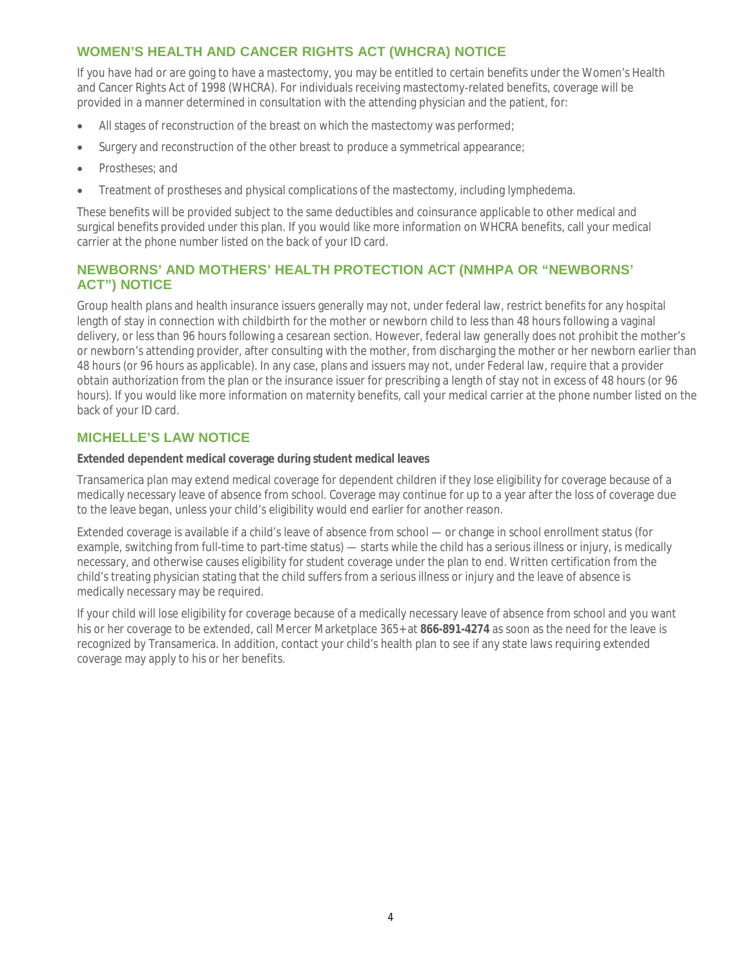# **WOMEN'S HEALTH AND CANCER RIGHTS ACT (WHCRA) NOTICE**

If you have had or are going to have a mastectomy, you may be entitled to certain benefits under the Women's Health and Cancer Rights Act of 1998 (WHCRA). For individuals receiving mastectomy-related benefits, coverage will be provided in a manner determined in consultation with the attending physician and the patient, for:

- All stages of reconstruction of the breast on which the mastectomy was performed;
- Surgery and reconstruction of the other breast to produce a symmetrical appearance;
- Prostheses: and
- Treatment of prostheses and physical complications of the mastectomy, including lymphedema.

These benefits will be provided subject to the same deductibles and coinsurance applicable to other medical and surgical benefits provided under this plan. If you would like more information on WHCRA benefits, call your medical carrier at the phone number listed on the back of your ID card.

# **NEWBORNS' AND MOTHERS' HEALTH PROTECTION ACT (NMHPA OR "NEWBORNS' ACT") NOTICE**

Group health plans and health insurance issuers generally may not, under federal law, restrict benefits for any hospital length of stay in connection with childbirth for the mother or newborn child to less than 48 hours following a vaginal delivery, or less than 96 hours following a cesarean section. However, federal law generally does not prohibit the mother's or newborn's attending provider, after consulting with the mother, from discharging the mother or her newborn earlier than 48 hours (or 96 hours as applicable). In any case, plans and issuers may not, under Federal law, require that a provider obtain authorization from the plan or the insurance issuer for prescribing a length of stay not in excess of 48 hours (or 96 hours). If you would like more information on maternity benefits, call your medical carrier at the phone number listed on the back of your ID card.

# **MICHELLE'S LAW NOTICE**

**Extended dependent medical coverage during student medical leaves**

Transamerica plan may extend medical coverage for dependent children if they lose eligibility for coverage because of a medically necessary leave of absence from school. Coverage may continue for up to a year after the loss of coverage due to the leave began, unless your child's eligibility would end earlier for another reason.

Extended coverage is available if a child's leave of absence from school — or change in school enrollment status (for example, switching from full-time to part-time status) — starts while the child has a serious illness or injury, is medically necessary, and otherwise causes eligibility for student coverage under the plan to end. Written certification from the child's treating physician stating that the child suffers from a serious illness or injury and the leave of absence is medically necessary may be required.

If your child will lose eligibility for coverage because of a medically necessary leave of absence from school and you want his or her coverage to be extended, call Mercer Marketplace 365+ at **866-891-4274** as soon as the need for the leave is recognized by Transamerica. In addition, contact your child's health plan to see if any state laws requiring extended coverage may apply to his or her benefits.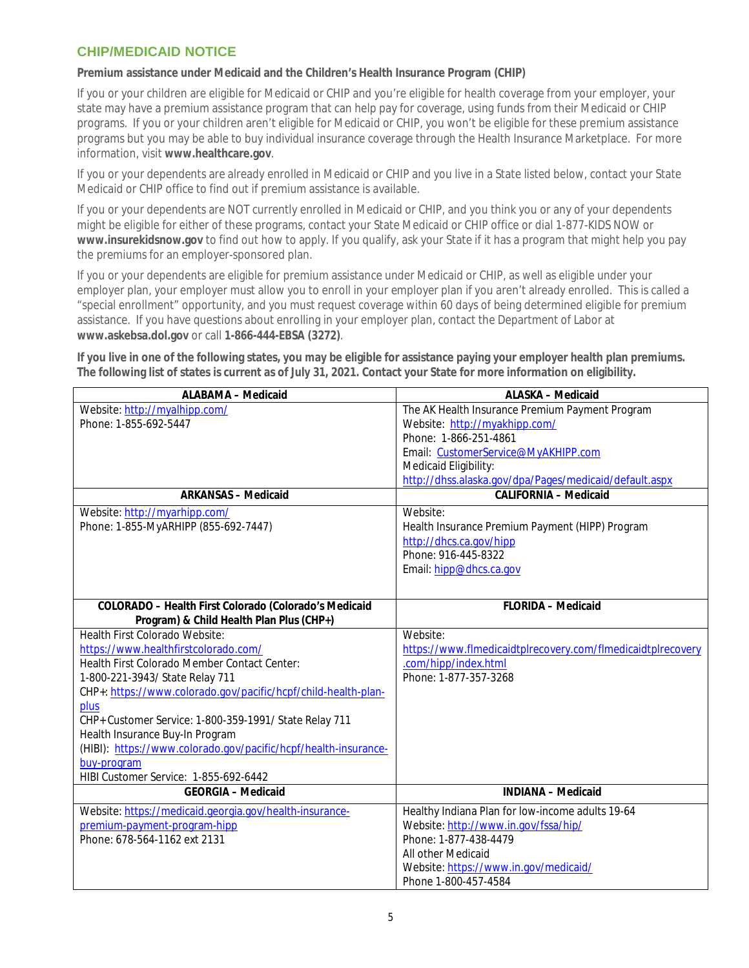# **CHIP/MEDICAID NOTICE**

**Premium assistance under Medicaid and the Children's Health Insurance Program (CHIP)**

If you or your children are eligible for Medicaid or CHIP and you're eligible for health coverage from your employer, your state may have a premium assistance program that can help pay for coverage, using funds from their Medicaid or CHIP programs. If you or your children aren't eligible for Medicaid or CHIP, you won't be eligible for these premium assistance programs but you may be able to buy individual insurance coverage through the Health Insurance Marketplace. For more information, visit **www.healthcare.gov**.

If you or your dependents are already enrolled in Medicaid or CHIP and you live in a State listed below, contact your State Medicaid or CHIP office to find out if premium assistance is available.

If you or your dependents are NOT currently enrolled in Medicaid or CHIP, and you think you or any of your dependents might be eligible for either of these programs, contact your State Medicaid or CHIP office or dial 1-877-KIDS NOW or **www.insurekidsnow.gov** to find out how to apply. If you qualify, ask your State if it has a program that might help you pay the premiums for an employer-sponsored plan.

If you or your dependents are eligible for premium assistance under Medicaid or CHIP, as well as eligible under your employer plan, your employer must allow you to enroll in your employer plan if you aren't already enrolled. This is called a "special enrollment" opportunity, and you must request coverage within 60 days of being determined eligible for premium assistance. If you have questions about enrolling in your employer plan, contact the Department of Labor at **www.askebsa.dol.gov** or call **1-866-444-EBSA (3272)**.

**If you live in one of the following states, you may be eligible for assistance paying your employer health plan premiums. The following list of states is current as of July 31, 2021. Contact your State for more information on eligibility.**

| ALABAMA - Medicaid                                              | ALASKA - Medicaid                                           |  |
|-----------------------------------------------------------------|-------------------------------------------------------------|--|
| Website: http://myalhipp.com/                                   | The AK Health Insurance Premium Payment Program             |  |
| Phone: 1-855-692-5447                                           | Website: http://myakhipp.com/                               |  |
|                                                                 | Phone: 1-866-251-4861                                       |  |
|                                                                 | Email: CustomerService@MyAKHIPP.com                         |  |
|                                                                 | Medicaid Eligibility:                                       |  |
|                                                                 | http://dhss.alaska.gov/dpa/Pages/medicaid/default.aspx      |  |
| <b>ARKANSAS - Medicaid</b>                                      | <b>CALIFORNIA - Medicaid</b>                                |  |
| Website: http://myarhipp.com/                                   | Website:                                                    |  |
| Phone: 1-855-MyARHIPP (855-692-7447)                            | Health Insurance Premium Payment (HIPP) Program             |  |
|                                                                 | http://dhcs.ca.gov/hipp                                     |  |
|                                                                 | Phone: 916-445-8322                                         |  |
|                                                                 | Email: hipp@dhcs.ca.gov                                     |  |
|                                                                 |                                                             |  |
|                                                                 |                                                             |  |
| COLORADO - Health First Colorado (Colorado's Medicaid           | <b>FLORIDA - Medicaid</b>                                   |  |
| Program) & Child Health Plan Plus (CHP+)                        |                                                             |  |
| Health First Colorado Website:                                  | Website:                                                    |  |
| https://www.healthfirstcolorado.com/                            | https://www.flmedicaidtplrecovery.com/flmedicaidtplrecovery |  |
| Health First Colorado Member Contact Center:                    | .com/hipp/index.html                                        |  |
| 1-800-221-3943/ State Relay 711                                 | Phone: 1-877-357-3268                                       |  |
| CHP+: https://www.colorado.gov/pacific/hcpf/child-health-plan-  |                                                             |  |
| plus                                                            |                                                             |  |
| CHP+ Customer Service: 1-800-359-1991/ State Relay 711          |                                                             |  |
| Health Insurance Buy-In Program                                 |                                                             |  |
| (HIBI): https://www.colorado.gov/pacific/hcpf/health-insurance- |                                                             |  |
| buy-program                                                     |                                                             |  |
| HIBI Customer Service: 1-855-692-6442                           |                                                             |  |
| <b>GEORGIA - Medicaid</b>                                       | <b>INDIANA - Medicaid</b>                                   |  |
| Website: https://medicaid.georgia.gov/health-insurance-         | Healthy Indiana Plan for low-income adults 19-64            |  |
| premium-payment-program-hipp                                    | Website: http://www.in.gov/fssa/hip/                        |  |
| Phone: 678-564-1162 ext 2131                                    | Phone: 1-877-438-4479                                       |  |
|                                                                 | All other Medicaid                                          |  |
|                                                                 | Website: https://www.in.gov/medicaid/                       |  |
|                                                                 | Phone 1-800-457-4584                                        |  |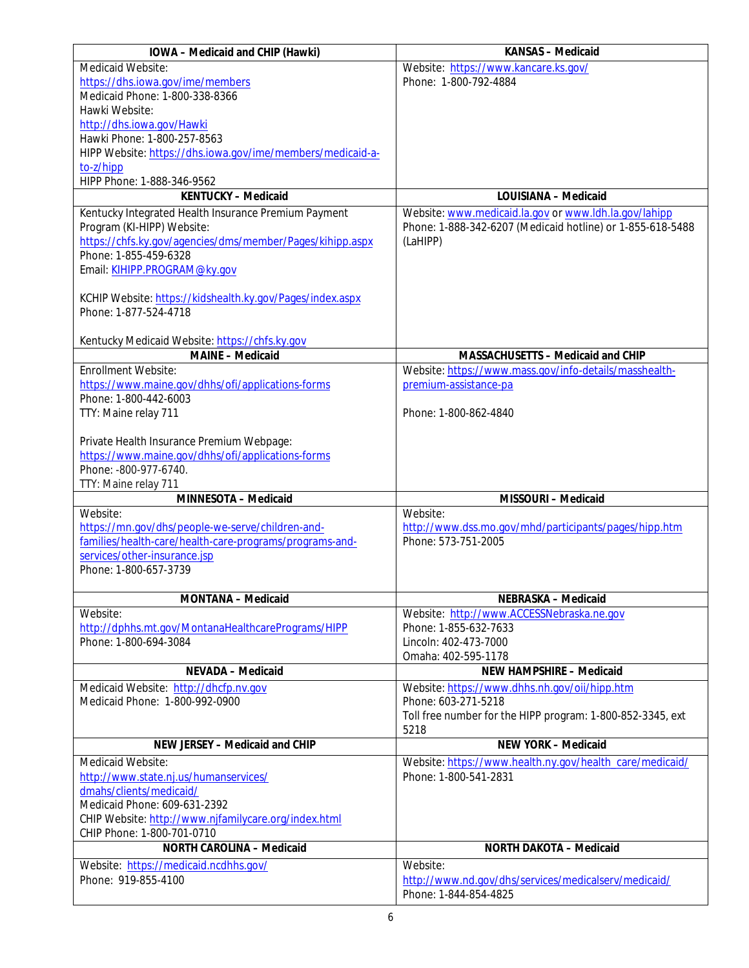| IOWA - Medicaid and CHIP (Hawki)                                                               | KANSAS - Medicaid                                                             |
|------------------------------------------------------------------------------------------------|-------------------------------------------------------------------------------|
| Medicaid Website:                                                                              | Website: https://www.kancare.ks.gov/                                          |
| https://dhs.iowa.gov/ime/members                                                               | Phone: 1-800-792-4884                                                         |
| Medicaid Phone: 1-800-338-8366                                                                 |                                                                               |
| Hawki Website:                                                                                 |                                                                               |
| http://dhs.iowa.gov/Hawki                                                                      |                                                                               |
| Hawki Phone: 1-800-257-8563                                                                    |                                                                               |
| HIPP Website: https://dhs.iowa.gov/ime/members/medicaid-a-                                     |                                                                               |
| to-z/hipp                                                                                      |                                                                               |
| HIPP Phone: 1-888-346-9562<br><b>KENTUCKY - Medicaid</b>                                       | LOUISIANA - Medicaid                                                          |
|                                                                                                |                                                                               |
| Kentucky Integrated Health Insurance Premium Payment                                           | Website: www.medicaid.la.gov or www.ldh.la.gov/lahipp                         |
| Program (KI-HIPP) Website:<br>https://chfs.ky.gov/agencies/dms/member/Pages/kihipp.aspx        | Phone: 1-888-342-6207 (Medicaid hotline) or 1-855-618-5488<br>(LaHIPP)        |
| Phone: 1-855-459-6328                                                                          |                                                                               |
| Email: KIHIPP.PROGRAM@ky.gov                                                                   |                                                                               |
|                                                                                                |                                                                               |
| KCHIP Website: https://kidshealth.ky.gov/Pages/index.aspx                                      |                                                                               |
| Phone: 1-877-524-4718                                                                          |                                                                               |
|                                                                                                |                                                                               |
| Kentucky Medicaid Website: https://chfs.ky.gov                                                 |                                                                               |
| MAINE - Medicaid                                                                               | MASSACHUSETTS - Medicaid and CHIP                                             |
| Enrollment Website:                                                                            | Website: https://www.mass.gov/info-details/masshealth-                        |
| https://www.maine.gov/dhhs/ofi/applications-forms                                              | premium-assistance-pa                                                         |
| Phone: 1-800-442-6003                                                                          |                                                                               |
| TTY: Maine relay 711                                                                           | Phone: 1-800-862-4840                                                         |
|                                                                                                |                                                                               |
| Private Health Insurance Premium Webpage:<br>https://www.maine.gov/dhhs/ofi/applications-forms |                                                                               |
| Phone: -800-977-6740.                                                                          |                                                                               |
| TTY: Maine relay 711                                                                           |                                                                               |
| MINNESOTA - Medicaid                                                                           | MISSOURI - Medicaid                                                           |
| Website:                                                                                       | Website:                                                                      |
| https://mn.gov/dhs/people-we-serve/children-and-                                               | http://www.dss.mo.gov/mhd/participants/pages/hipp.htm                         |
| families/health-care/health-care-programs/programs-and-                                        | Phone: 573-751-2005                                                           |
| services/other-insurance.jsp                                                                   |                                                                               |
| Phone: 1-800-657-3739                                                                          |                                                                               |
|                                                                                                |                                                                               |
|                                                                                                |                                                                               |
| MONTANA - Medicaid                                                                             | NEBRASKA - Medicaid                                                           |
| Website:                                                                                       | Website: http://www.ACCESSNebraska.ne.gov                                     |
| http://dphhs.mt.gov/MontanaHealthcarePrograms/HIPP                                             | Phone: 1-855-632-7633                                                         |
| Phone: 1-800-694-3084                                                                          | Lincoln: 402-473-7000                                                         |
|                                                                                                | Omaha: 402-595-1178                                                           |
| NEVADA - Medicaid                                                                              | NEW HAMPSHIRE - Medicaid                                                      |
| Medicaid Website: http://dhcfp.nv.gov                                                          | Website: https://www.dhhs.nh.gov/oii/hipp.htm                                 |
| Medicaid Phone: 1-800-992-0900                                                                 | Phone: 603-271-5218                                                           |
|                                                                                                | Toll free number for the HIPP program: 1-800-852-3345, ext                    |
|                                                                                                | 5218                                                                          |
| NEW JERSEY - Medicaid and CHIP                                                                 | NEW YORK - Medicaid                                                           |
| Medicaid Website:                                                                              | Website: https://www.health.ny.gov/health_care/medicaid/                      |
| http://www.state.nj.us/humanservices/                                                          | Phone: 1-800-541-2831                                                         |
| dmahs/clients/medicaid/                                                                        |                                                                               |
| Medicaid Phone: 609-631-2392                                                                   |                                                                               |
| CHIP Website: http://www.njfamilycare.org/index.html                                           |                                                                               |
| CHIP Phone: 1-800-701-0710                                                                     |                                                                               |
| NORTH CAROLINA - Medicaid                                                                      | NORTH DAKOTA - Medicaid                                                       |
| Website: https://medicaid.ncdhhs.gov/                                                          | Website:                                                                      |
| Phone: 919-855-4100                                                                            | http://www.nd.gov/dhs/services/medicalserv/medicaid/<br>Phone: 1-844-854-4825 |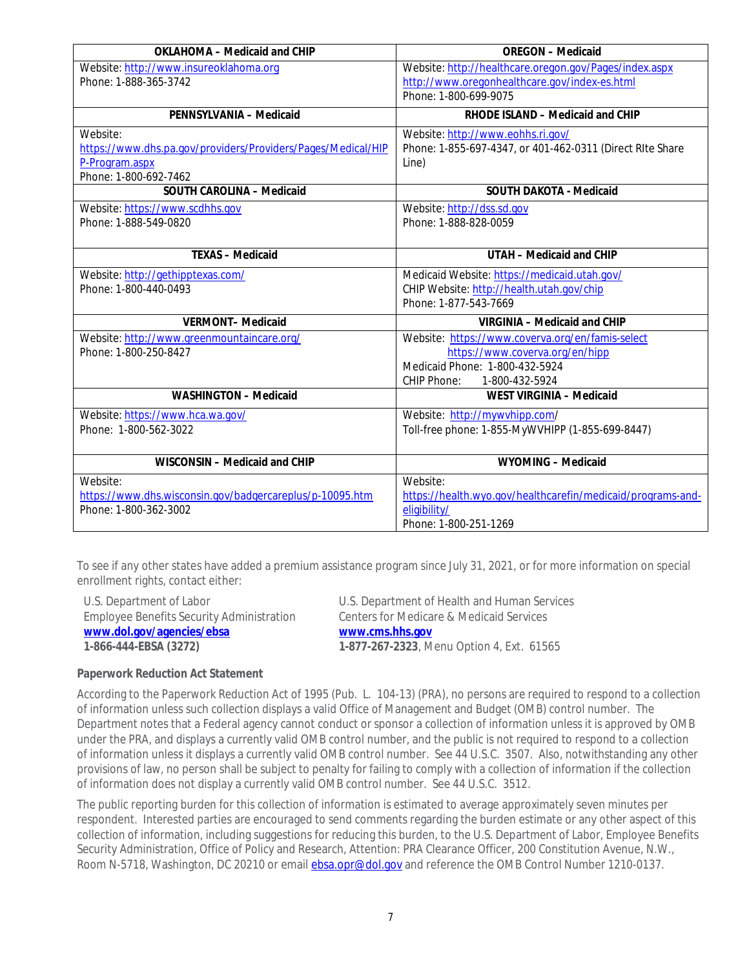| OKLAHOMA - Medicaid and CHIP                                 | <b>OREGON</b> - Medicaid                                    |
|--------------------------------------------------------------|-------------------------------------------------------------|
| Website: http://www.insureoklahoma.org                       | Website: http://healthcare.oregon.gov/Pages/index.aspx      |
| Phone: 1-888-365-3742                                        | http://www.oregonhealthcare.gov/index-es.html               |
|                                                              | Phone: 1-800-699-9075                                       |
| PENNSYLVANIA - Medicaid                                      | RHODE ISLAND - Medicaid and CHIP                            |
| Website:                                                     | Website: http://www.eohhs.ri.gov/                           |
| https://www.dhs.pa.gov/providers/Providers/Pages/Medical/HIP | Phone: 1-855-697-4347, or 401-462-0311 (Direct RIte Share   |
| P-Program.aspx                                               | Line)                                                       |
| Phone: 1-800-692-7462                                        |                                                             |
| SOUTH CAROLINA - Medicaid                                    | SOUTH DAKOTA - Medicaid                                     |
| Website: https://www.scdhhs.gov                              | Website: http://dss.sd.gov                                  |
| Phone: 1-888-549-0820                                        | Phone: 1-888-828-0059                                       |
|                                                              |                                                             |
| <b>TEXAS - Medicaid</b>                                      | UTAH - Medicaid and CHIP                                    |
| Website: http://gethipptexas.com/                            | Medicaid Website: https://medicaid.utah.gov/                |
| Phone: 1-800-440-0493                                        | CHIP Website: http://health.utah.gov/chip                   |
|                                                              | Phone: 1-877-543-7669                                       |
| <b>VERMONT-Medicaid</b>                                      | VIRGINIA - Medicaid and CHIP                                |
| Website: http://www.greenmountaincare.org/                   | Website: https://www.coverva.org/en/famis-select            |
| Phone: 1-800-250-8427                                        | https://www.coverva.org/en/hipp                             |
|                                                              | Medicaid Phone: 1-800-432-5924                              |
|                                                              | CHIP Phone:<br>1-800-432-5924                               |
| WASHINGTON - Medicaid                                        | WEST VIRGINIA - Medicaid                                    |
| Website: https://www.hca.wa.gov/                             | Website: http://mywvhipp.com/                               |
| Phone: 1-800-562-3022                                        | Toll-free phone: 1-855-MyWVHIPP (1-855-699-8447)            |
|                                                              |                                                             |
| WISCONSIN - Medicaid and CHIP                                | WYOMING - Medicaid                                          |
| Website:                                                     | Website:                                                    |
| https://www.dhs.wisconsin.gov/badgercareplus/p-10095.htm     | https://health.wyo.gov/healthcarefin/medicaid/programs-and- |
| Phone: 1-800-362-3002                                        | eligibility/                                                |
|                                                              | Phone: 1-800-251-1269                                       |

To see if any other states have added a premium assistance program since July 31, 2021, or for more information on special enrollment rights, contact either:

| U.S. Department of Labor                         | U.S. Department of Health and Human Services |
|--------------------------------------------------|----------------------------------------------|
| <b>Employee Benefits Security Administration</b> | Centers for Medicare & Medicaid Services     |
| www.dol.gov/agencies/ebsa                        | www.cms.hhs.gov                              |
| 1-866-444-EBSA (3272)                            | 1-877-267-2323, Menu Option 4, Ext. 61565    |

**Paperwork Reduction Act Statement**

According to the Paperwork Reduction Act of 1995 (Pub. L. 104-13) (PRA), no persons are required to respond to a collection of information unless such collection displays a valid Office of Management and Budget (OMB) control number. The Department notes that a Federal agency cannot conduct or sponsor a collection of information unless it is approved by OMB under the PRA, and displays a currently valid OMB control number, and the public is not required to respond to a collection of information unless it displays a currently valid OMB control number. See 44 U.S.C. 3507. Also, notwithstanding any other provisions of law, no person shall be subject to penalty for failing to comply with a collection of information if the collection of information does not display a currently valid OMB control number. See 44 U.S.C. 3512.

The public reporting burden for this collection of information is estimated to average approximately seven minutes per respondent. Interested parties are encouraged to send comments regarding the burden estimate or any other aspect of this collection of information, including suggestions for reducing this burden, to the U.S. Department of Labor, Employee Benefits Security Administration, Office of Policy and Research, Attention: PRA Clearance Officer, 200 Constitution Avenue, N.W., Room N-5718, Washington, DC 20210 or email [ebsa.opr@dol.gov](mailto:ebsa.opr@dol.gov) and reference the OMB Control Number 1210-0137.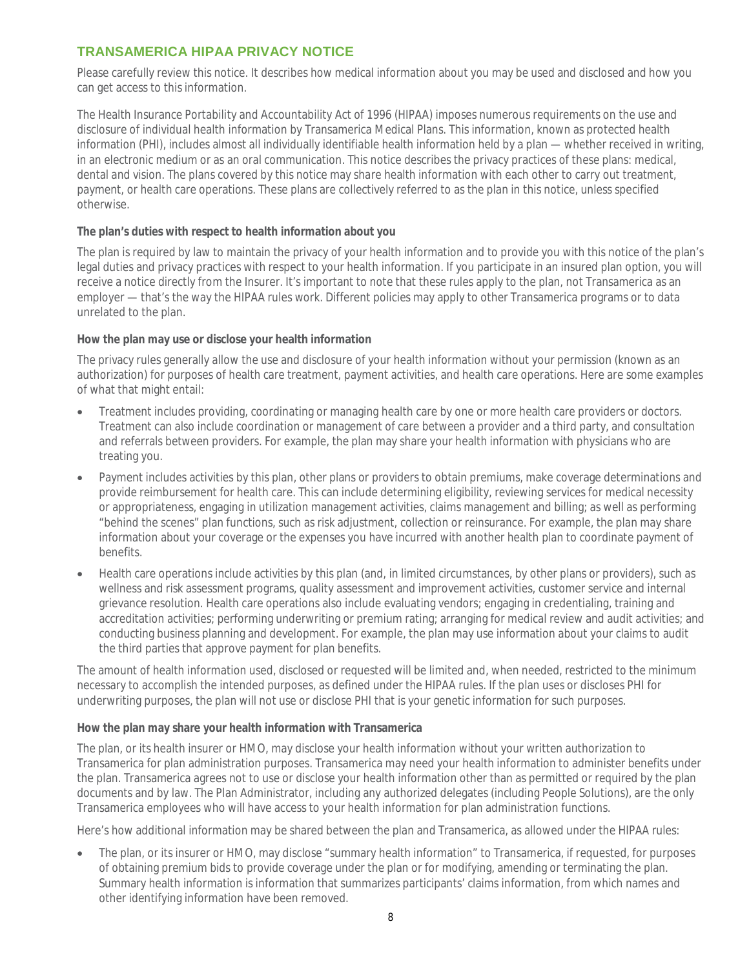# **TRANSAMERICA HIPAA PRIVACY NOTICE**

Please carefully review this notice. It describes how medical information about you may be used and disclosed and how you can get access to this information.

The Health Insurance Portability and Accountability Act of 1996 (HIPAA) imposes numerous requirements on the use and disclosure of individual health information by Transamerica Medical Plans. This information, known as protected health information (PHI), includes almost all individually identifiable health information held by a plan — whether received in writing, in an electronic medium or as an oral communication. This notice describes the privacy practices of these plans: medical, dental and vision. The plans covered by this notice may share health information with each other to carry out treatment, payment, or health care operations. These plans are collectively referred to as the plan in this notice, unless specified otherwise.

**The plan's duties with respect to health information about you**

The plan is required by law to maintain the privacy of your health information and to provide you with this notice of the plan's legal duties and privacy practices with respect to your health information. If you participate in an insured plan option, you will receive a notice directly from the Insurer. It's important to note that these rules apply to the plan, not Transamerica as an employer — that's the way the HIPAA rules work. Different policies may apply to other Transamerica programs or to data unrelated to the plan.

**How the plan may use or disclose your health information**

The privacy rules generally allow the use and disclosure of your health information without your permission (known as an authorization) for purposes of health care treatment, payment activities, and health care operations. Here are some examples of what that might entail:

- Treatment includes providing, coordinating or managing health care by one or more health care providers or doctors. Treatment can also include coordination or management of care between a provider and a third party, and consultation and referrals between providers. For example, the plan may share your health information with physicians who are treating you.
- Payment includes activities by this plan, other plans or providers to obtain premiums, make coverage determinations and provide reimbursement for health care. This can include determining eligibility, reviewing services for medical necessity or appropriateness, engaging in utilization management activities, claims management and billing; as well as performing "behind the scenes" plan functions, such as risk adjustment, collection or reinsurance. For example, the plan may share information about your coverage or the expenses you have incurred with another health plan to coordinate payment of benefits.
- Health care operations include activities by this plan (and, in limited circumstances, by other plans or providers), such as wellness and risk assessment programs, quality assessment and improvement activities, customer service and internal grievance resolution. Health care operations also include evaluating vendors; engaging in credentialing, training and accreditation activities; performing underwriting or premium rating; arranging for medical review and audit activities; and conducting business planning and development. For example, the plan may use information about your claims to audit the third parties that approve payment for plan benefits.

The amount of health information used, disclosed or requested will be limited and, when needed, restricted to the minimum necessary to accomplish the intended purposes, as defined under the HIPAA rules. If the plan uses or discloses PHI for underwriting purposes, the plan will not use or disclose PHI that is your genetic information for such purposes.

**How the plan may share your health information with Transamerica**

The plan, or its health insurer or HMO, may disclose your health information without your written authorization to Transamerica for plan administration purposes. Transamerica may need your health information to administer benefits under the plan. Transamerica agrees not to use or disclose your health information other than as permitted or required by the plan documents and by law. The Plan Administrator, including any authorized delegates (including People Solutions), are the only Transamerica employees who will have access to your health information for plan administration functions.

Here's how additional information may be shared between the plan and Transamerica, as allowed under the HIPAA rules:

 The plan, or its insurer or HMO, may disclose "summary health information" to Transamerica, if requested, for purposes of obtaining premium bids to provide coverage under the plan or for modifying, amending or terminating the plan. Summary health information is information that summarizes participants' claims information, from which names and other identifying information have been removed.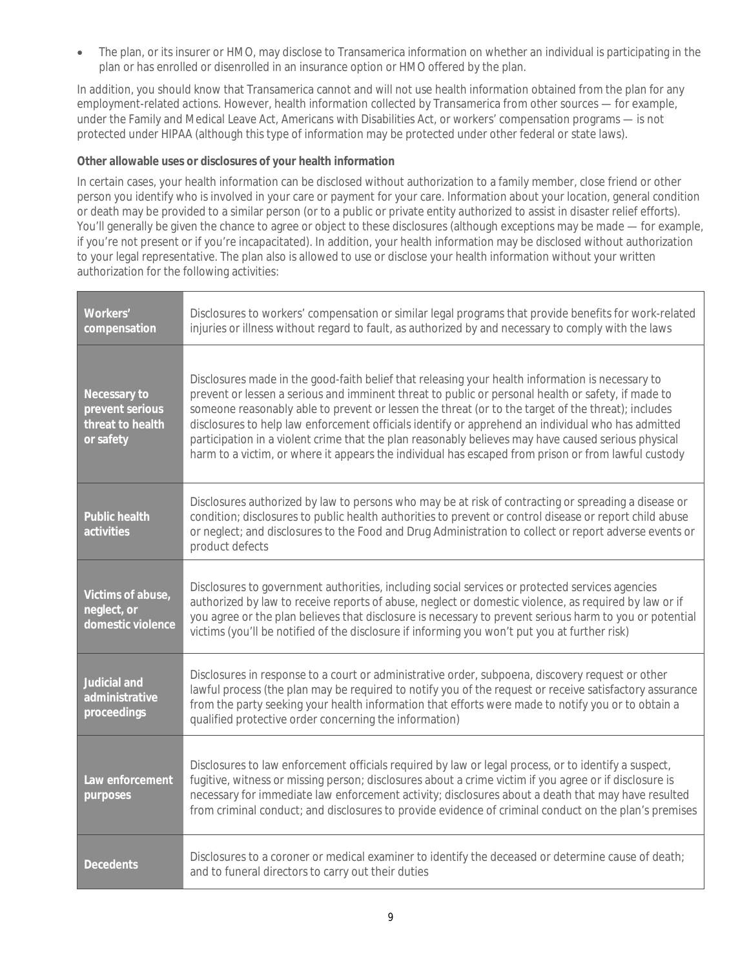The plan, or its insurer or HMO, may disclose to Transamerica information on whether an individual is participating in the plan or has enrolled or disenrolled in an insurance option or HMO offered by the plan.

In addition, you should know that Transamerica cannot and will not use health information obtained from the plan for any employment-related actions. However, health information collected by Transamerica from other sources — for example, under the Family and Medical Leave Act, Americans with Disabilities Act, or workers' compensation programs — is not protected under HIPAA (although this type of information may be protected under other federal or state laws).

**Other allowable uses or disclosures of your health information**

In certain cases, your health information can be disclosed without authorization to a family member, close friend or other person you identify who is involved in your care or payment for your care. Information about your location, general condition or death may be provided to a similar person (or to a public or private entity authorized to assist in disaster relief efforts). You'll generally be given the chance to agree or object to these disclosures (although exceptions may be made — for example, if you're not present or if you're incapacitated). In addition, your health information may be disclosed without authorization to your legal representative. The plan also is allowed to use or disclose your health information without your written authorization for the following activities:

| Workers'<br>compensation                                         | Disclosures to workers' compensation or similar legal programs that provide benefits for work-related<br>injuries or illness without regard to fault, as authorized by and necessary to comply with the laws                                                                                                                                                                                                                                                                                                                                                                                                                     |
|------------------------------------------------------------------|----------------------------------------------------------------------------------------------------------------------------------------------------------------------------------------------------------------------------------------------------------------------------------------------------------------------------------------------------------------------------------------------------------------------------------------------------------------------------------------------------------------------------------------------------------------------------------------------------------------------------------|
| Necessary to<br>prevent serious<br>threat to health<br>or safety | Disclosures made in the good-faith belief that releasing your health information is necessary to<br>prevent or lessen a serious and imminent threat to public or personal health or safety, if made to<br>someone reasonably able to prevent or lessen the threat (or to the target of the threat); includes<br>disclosures to help law enforcement officials identify or apprehend an individual who has admitted<br>participation in a violent crime that the plan reasonably believes may have caused serious physical<br>harm to a victim, or where it appears the individual has escaped from prison or from lawful custody |
| Public health<br>activities                                      | Disclosures authorized by law to persons who may be at risk of contracting or spreading a disease or<br>condition; disclosures to public health authorities to prevent or control disease or report child abuse<br>or neglect; and disclosures to the Food and Drug Administration to collect or report adverse events or<br>product defects                                                                                                                                                                                                                                                                                     |
| Victims of abuse,<br>neglect, or<br>domestic violence            | Disclosures to government authorities, including social services or protected services agencies<br>authorized by law to receive reports of abuse, neglect or domestic violence, as required by law or if<br>you agree or the plan believes that disclosure is necessary to prevent serious harm to you or potential<br>victims (you'll be notified of the disclosure if informing you won't put you at further risk)                                                                                                                                                                                                             |
| Judicial and<br>administrative<br>proceedings                    | Disclosures in response to a court or administrative order, subpoena, discovery request or other<br>lawful process (the plan may be required to notify you of the request or receive satisfactory assurance<br>from the party seeking your health information that efforts were made to notify you or to obtain a<br>qualified protective order concerning the information)                                                                                                                                                                                                                                                      |
| Law enforcement<br>purposes                                      | Disclosures to law enforcement officials required by law or legal process, or to identify a suspect,<br>fugitive, witness or missing person; disclosures about a crime victim if you agree or if disclosure is<br>necessary for immediate law enforcement activity; disclosures about a death that may have resulted<br>from criminal conduct; and disclosures to provide evidence of criminal conduct on the plan's premises                                                                                                                                                                                                    |
| Decedents                                                        | Disclosures to a coroner or medical examiner to identify the deceased or determine cause of death;<br>and to funeral directors to carry out their duties                                                                                                                                                                                                                                                                                                                                                                                                                                                                         |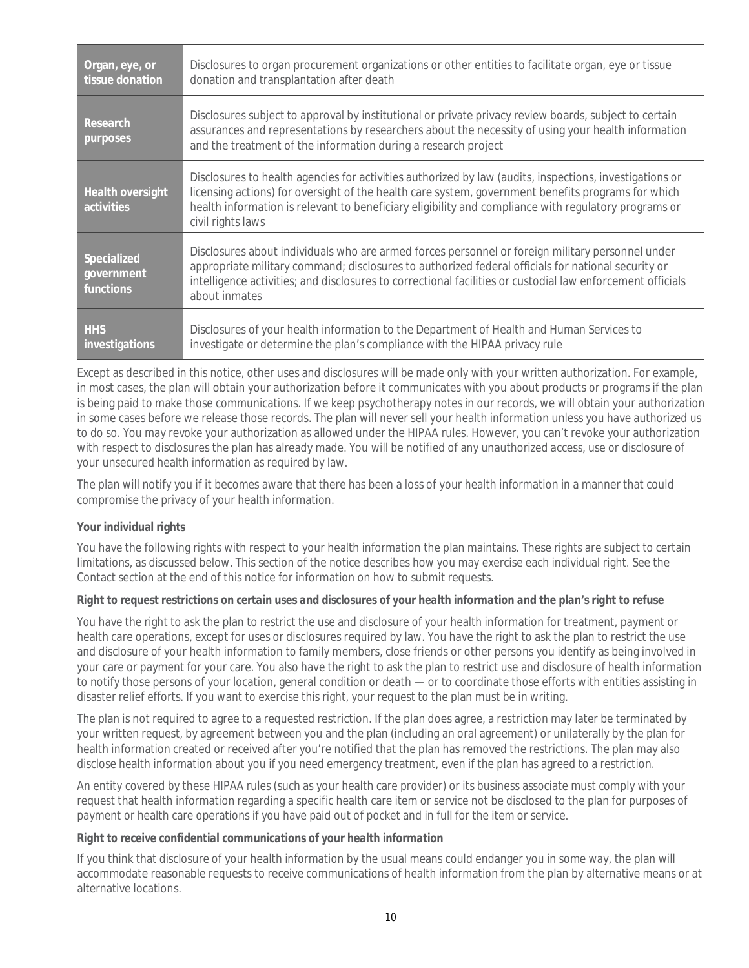| Organ, eye, or<br>tissue donation      | Disclosures to organ procurement organizations or other entities to facilitate organ, eye or tissue<br>donation and transplantation after death                                                                                                                                                                                            |
|----------------------------------------|--------------------------------------------------------------------------------------------------------------------------------------------------------------------------------------------------------------------------------------------------------------------------------------------------------------------------------------------|
| Research<br>purposes                   | Disclosures subject to approval by institutional or private privacy review boards, subject to certain<br>assurances and representations by researchers about the necessity of using your health information<br>and the treatment of the information during a research project                                                              |
| Health oversight<br>activities         | Disclosures to health agencies for activities authorized by law (audits, inspections, investigations or<br>licensing actions) for oversight of the health care system, government benefits programs for which<br>health information is relevant to beneficiary eligibility and compliance with regulatory programs or<br>civil rights laws |
| Specialized<br>government<br>functions | Disclosures about individuals who are armed forces personnel or foreign military personnel under<br>appropriate military command; disclosures to authorized federal officials for national security or<br>intelligence activities; and disclosures to correctional facilities or custodial law enforcement officials<br>about inmates      |
| <b>HHS</b><br>investigations           | Disclosures of your health information to the Department of Health and Human Services to<br>investigate or determine the plan's compliance with the HIPAA privacy rule                                                                                                                                                                     |

Except as described in this notice, other uses and disclosures will be made only with your written authorization. For example, in most cases, the plan will obtain your authorization before it communicates with you about products or programs if the plan is being paid to make those communications. If we keep psychotherapy notes in our records, we will obtain your authorization in some cases before we release those records. The plan will never sell your health information unless you have authorized us to do so. You may revoke your authorization as allowed under the HIPAA rules. However, you can't revoke your authorization with respect to disclosures the plan has already made. You will be notified of any unauthorized access, use or disclosure of your unsecured health information as required by law.

The plan will notify you if it becomes aware that there has been a loss of your health information in a manner that could compromise the privacy of your health information.

## **Your individual rights**

You have the following rights with respect to your health information the plan maintains. These rights are subject to certain limitations, as discussed below. This section of the notice describes how you may exercise each individual right. See the Contact section at the end of this notice for information on how to submit requests.

#### *Right to request restrictions on certain uses and disclosures of your health information and the plan's right to refuse*

You have the right to ask the plan to restrict the use and disclosure of your health information for treatment, payment or health care operations, except for uses or disclosures required by law. You have the right to ask the plan to restrict the use and disclosure of your health information to family members, close friends or other persons you identify as being involved in your care or payment for your care. You also have the right to ask the plan to restrict use and disclosure of health information to notify those persons of your location, general condition or death — or to coordinate those efforts with entities assisting in disaster relief efforts. If you want to exercise this right, your request to the plan must be in writing.

The plan is not required to agree to a requested restriction. If the plan does agree, a restriction may later be terminated by your written request, by agreement between you and the plan (including an oral agreement) or unilaterally by the plan for health information created or received after you're notified that the plan has removed the restrictions. The plan may also disclose health information about you if you need emergency treatment, even if the plan has agreed to a restriction.

An entity covered by these HIPAA rules (such as your health care provider) or its business associate must comply with your request that health information regarding a specific health care item or service not be disclosed to the plan for purposes of payment or health care operations if you have paid out of pocket and in full for the item or service.

#### *Right to receive confidential communications of your health information*

If you think that disclosure of your health information by the usual means could endanger you in some way, the plan will accommodate reasonable requests to receive communications of health information from the plan by alternative means or at alternative locations.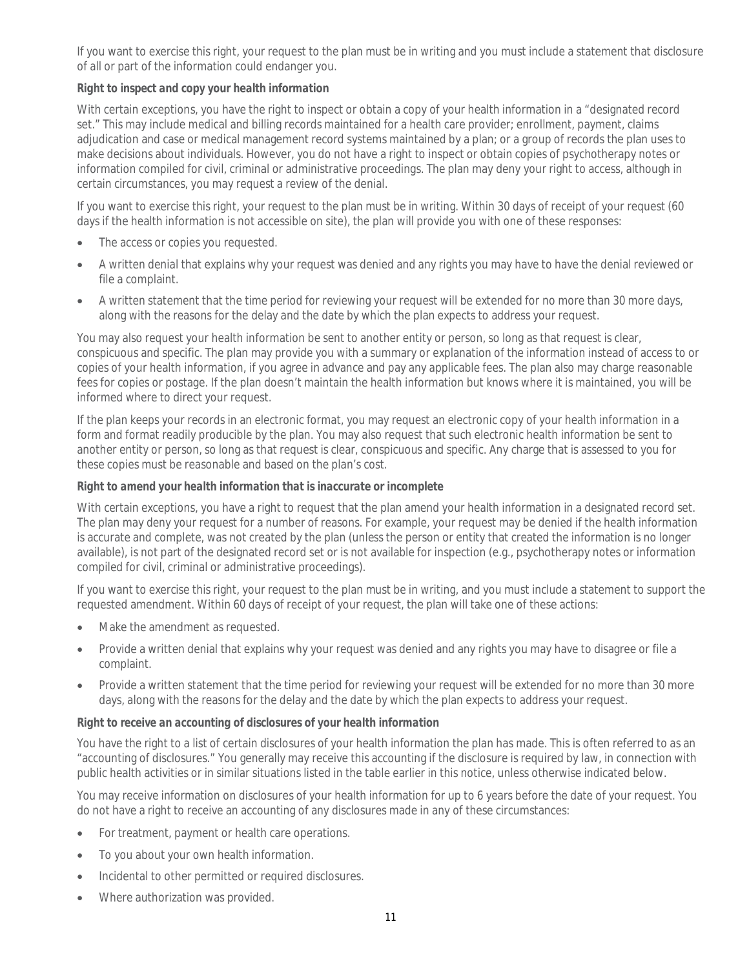If you want to exercise this right, your request to the plan must be in writing and you must include a statement that disclosure of all or part of the information could endanger you.

## *Right to inspect and copy your health information*

With certain exceptions, you have the right to inspect or obtain a copy of your health information in a "designated record set." This may include medical and billing records maintained for a health care provider; enrollment, payment, claims adjudication and case or medical management record systems maintained by a plan; or a group of records the plan uses to make decisions about individuals. However, you do not have a right to inspect or obtain copies of psychotherapy notes or information compiled for civil, criminal or administrative proceedings. The plan may deny your right to access, although in certain circumstances, you may request a review of the denial.

If you want to exercise this right, your request to the plan must be in writing. Within 30 days of receipt of your request (60 days if the health information is not accessible on site), the plan will provide you with one of these responses:

- The access or copies you requested.
- A written denial that explains why your request was denied and any rights you may have to have the denial reviewed or file a complaint.
- A written statement that the time period for reviewing your request will be extended for no more than 30 more days, along with the reasons for the delay and the date by which the plan expects to address your request.

You may also request your health information be sent to another entity or person, so long as that request is clear, conspicuous and specific. The plan may provide you with a summary or explanation of the information instead of access to or copies of your health information, if you agree in advance and pay any applicable fees. The plan also may charge reasonable fees for copies or postage. If the plan doesn't maintain the health information but knows where it is maintained, you will be informed where to direct your request.

If the plan keeps your records in an electronic format, you may request an electronic copy of your health information in a form and format readily producible by the plan. You may also request that such electronic health information be sent to another entity or person, so long as that request is clear, conspicuous and specific. Any charge that is assessed to you for these copies must be reasonable and based on the plan's cost.

## *Right to amend your health information that is inaccurate or incomplete*

With certain exceptions, you have a right to request that the plan amend your health information in a designated record set. The plan may deny your request for a number of reasons. For example, your request may be denied if the health information is accurate and complete, was not created by the plan (unless the person or entity that created the information is no longer available), is not part of the designated record set or is not available for inspection (e.g., psychotherapy notes or information compiled for civil, criminal or administrative proceedings).

If you want to exercise this right, your request to the plan must be in writing, and you must include a statement to support the requested amendment. Within 60 days of receipt of your request, the plan will take one of these actions:

- Make the amendment as requested.
- Provide a written denial that explains why your request was denied and any rights you may have to disagree or file a complaint.
- Provide a written statement that the time period for reviewing your request will be extended for no more than 30 more days, along with the reasons for the delay and the date by which the plan expects to address your request.

## *Right to receive an accounting of disclosures of your health information*

You have the right to a list of certain disclosures of your health information the plan has made. This is often referred to as an "accounting of disclosures." You generally may receive this accounting if the disclosure is required by law, in connection with public health activities or in similar situations listed in the table earlier in this notice, unless otherwise indicated below.

You may receive information on disclosures of your health information for up to 6 years before the date of your request. You do not have a right to receive an accounting of any disclosures made in any of these circumstances:

- For treatment, payment or health care operations.
- To you about your own health information.
- Incidental to other permitted or required disclosures.
- Where authorization was provided.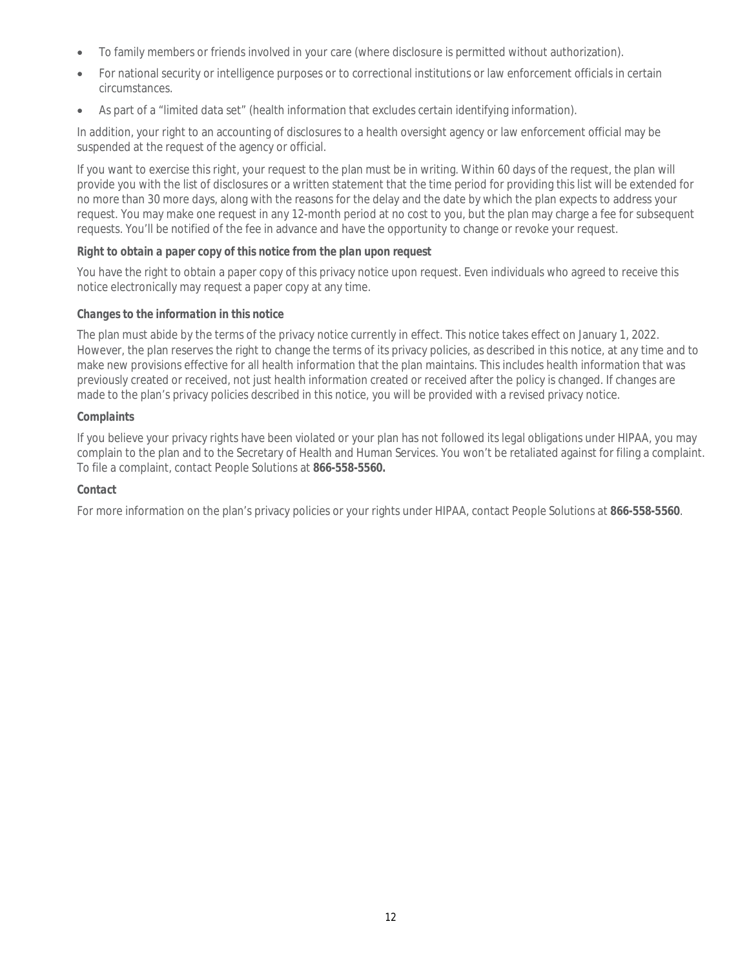- To family members or friends involved in your care (where disclosure is permitted without authorization).
- For national security or intelligence purposes or to correctional institutions or law enforcement officials in certain circumstances.
- As part of a "limited data set" (health information that excludes certain identifying information).

In addition, your right to an accounting of disclosures to a health oversight agency or law enforcement official may be suspended at the request of the agency or official.

If you want to exercise this right, your request to the plan must be in writing. Within 60 days of the request, the plan will provide you with the list of disclosures or a written statement that the time period for providing this list will be extended for no more than 30 more days, along with the reasons for the delay and the date by which the plan expects to address your request. You may make one request in any 12-month period at no cost to you, but the plan may charge a fee for subsequent requests. You'll be notified of the fee in advance and have the opportunity to change or revoke your request.

## *Right to obtain a paper copy of this notice from the plan upon request*

You have the right to obtain a paper copy of this privacy notice upon request. Even individuals who agreed to receive this notice electronically may request a paper copy at any time.

## *Changes to the information in this notice*

The plan must abide by the terms of the privacy notice currently in effect. This notice takes effect on January 1, 2022. However, the plan reserves the right to change the terms of its privacy policies, as described in this notice, at any time and to make new provisions effective for all health information that the plan maintains. This includes health information that was previously created or received, not just health information created or received after the policy is changed. If changes are made to the plan's privacy policies described in this notice, you will be provided with a revised privacy notice.

## *Complaints*

If you believe your privacy rights have been violated or your plan has not followed its legal obligations under HIPAA, you may complain to the plan and to the Secretary of Health and Human Services. You won't be retaliated against for filing a complaint. To file a complaint, contact People Solutions at **866-558-5560.**

## *Contact*

For more information on the plan's privacy policies or your rights under HIPAA, contact People Solutions at **866-558-5560**.